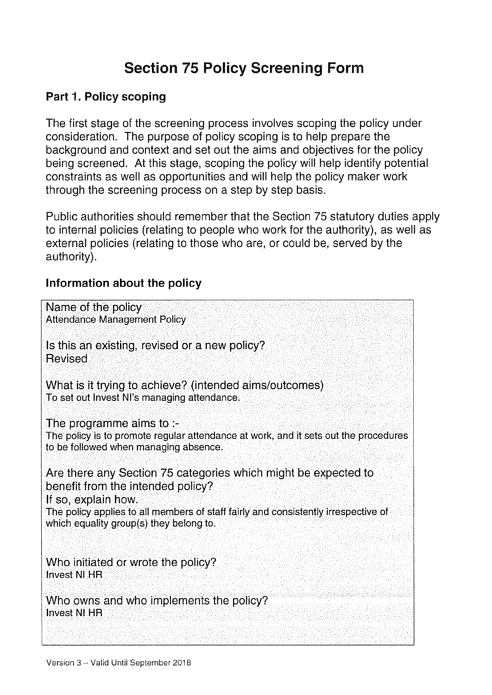# **Section 75 Policy Screening Form**

### Part 1. Policy scoping

The first stage of the screening process involves scoping the policy under consideration. The purpose of policy scoping is to help prepare the background and context and set out the aims and objectives for the policy being screened. At this stage, scoping the policy will help identify potential constraints as well as opportunities and will help the policy maker work through the screening process on a step by step basis.

Public authorities should remember that the Section 75 statutory duties apply to internal policies (relating to people who work for the authority), as well as external policies (relating to those who are, or could be, served by the authority).

#### Information about the policy

| Name of the policy<br><b>Attendance Management Policy</b>                                                                                                                                                                                                   |
|-------------------------------------------------------------------------------------------------------------------------------------------------------------------------------------------------------------------------------------------------------------|
| Is this an existing, revised or a new policy?<br><b>Revised</b>                                                                                                                                                                                             |
| What is it trying to achieve? (intended aims/outcomes)<br>To set out Invest NI's managing attendance.                                                                                                                                                       |
| The programme aims to $-$<br>The policy is to promote regular attendance at work, and it sets out the procedures<br>to be followed when managing absence.                                                                                                   |
| Are there any Section 75 categories which might be expected to<br>benefit from the intended policy?<br>If so, explain how.<br>The policy applies to all members of staff fairly and consistently irrespective of<br>which equality group(s) they belong to. |
| Who initiated or wrote the policy?<br><b>Invest NLHR</b>                                                                                                                                                                                                    |
| Who owns and who implements the policy?<br><b>Invest NI HR</b>                                                                                                                                                                                              |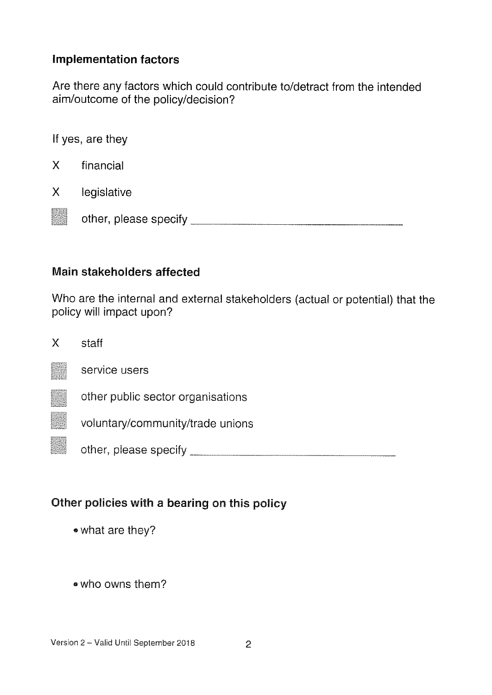#### Implementation factors

Are there any factors which could contribute to/detract from the intended aim/outcome of the policy/decision?

|   | If yes, are they      |
|---|-----------------------|
| X | financial             |
| X | legislative           |
|   | other, please specify |

### Main stakeholders affected

Who are the internal and external stakeholders (actual or potential) that the policy will impact upon?

| Χ | staff |
|---|-------|
|   |       |



other public sector organisations

voluntary/community/trade unions

t other, please specify

### Other policies with <sup>a</sup> bearing on this policy

- 'what are they?
- 'who owns them?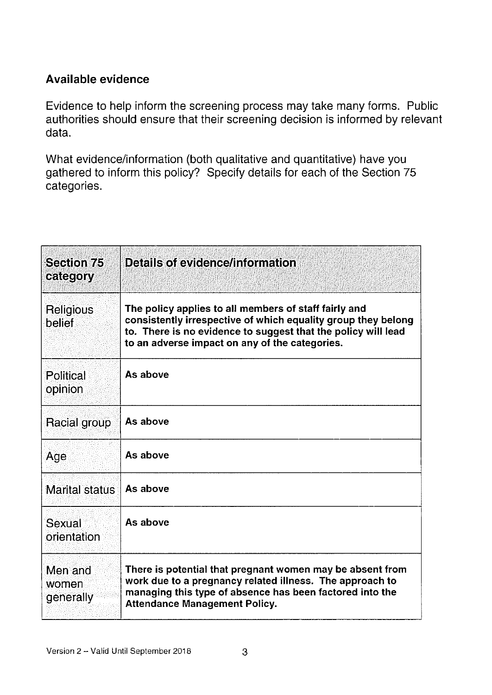### Available evidence

Evidence to help inform the screening process may take many forms. Public authorities should ensure that their screening decision is informed by relevant data.

What evidence/information (both qualitative and quantitative) have you gathered to inform this policy? Specify details for each of the Section 75 categories.

| <b>Section 75</b><br>category | Details of evidence/information                                                                                                                                                                                                           |
|-------------------------------|-------------------------------------------------------------------------------------------------------------------------------------------------------------------------------------------------------------------------------------------|
| Religious<br>belief           | The policy applies to all members of staff fairly and<br>consistently irrespective of which equality group they belong<br>to. There is no evidence to suggest that the policy will lead<br>to an adverse impact on any of the categories. |
| <b>Political</b><br>opinion   | As above                                                                                                                                                                                                                                  |
| Racial group                  | As above                                                                                                                                                                                                                                  |
| Age                           | As above                                                                                                                                                                                                                                  |
| Marital status                | As above                                                                                                                                                                                                                                  |
| Sexual<br>orientation         | As above                                                                                                                                                                                                                                  |
| Men and<br>women<br>generally | There is potential that pregnant women may be absent from<br>work due to a pregnancy related illness. The approach to<br>managing this type of absence has been factored into the<br><b>Attendance Management Policy.</b>                 |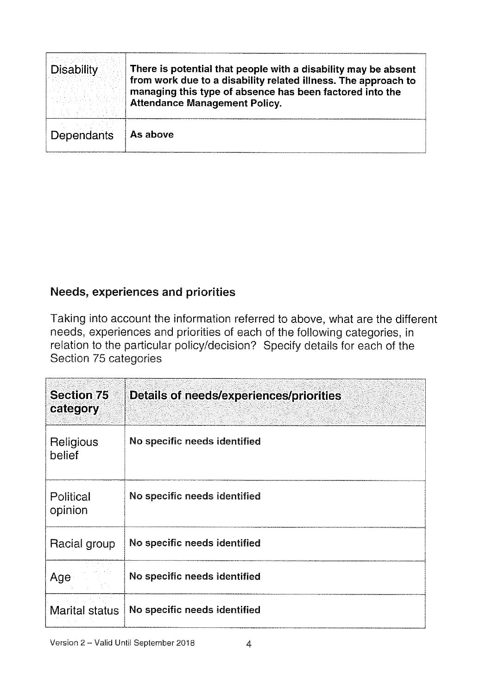| <b>Disability</b> | There is potential that people with a disability may be absent<br>from work due to a disability related illness. The approach to<br>managing this type of absence has been factored into the<br><b>Attendance Management Policy.</b> |
|-------------------|--------------------------------------------------------------------------------------------------------------------------------------------------------------------------------------------------------------------------------------|
| <b>Dependants</b> | As above                                                                                                                                                                                                                             |

### Needs, experiences and priorities

| <b>Disability</b>                                                                                                                                                                                                                                                | There is potential that people with a disability may be absent<br>from work due to a disability related illness. The approach to<br>managing this type of absence has been factored into the<br><b>Attendance Management Policy.</b> |  |  |
|------------------------------------------------------------------------------------------------------------------------------------------------------------------------------------------------------------------------------------------------------------------|--------------------------------------------------------------------------------------------------------------------------------------------------------------------------------------------------------------------------------------|--|--|
| Dependants                                                                                                                                                                                                                                                       | As above                                                                                                                                                                                                                             |  |  |
|                                                                                                                                                                                                                                                                  |                                                                                                                                                                                                                                      |  |  |
|                                                                                                                                                                                                                                                                  |                                                                                                                                                                                                                                      |  |  |
|                                                                                                                                                                                                                                                                  |                                                                                                                                                                                                                                      |  |  |
|                                                                                                                                                                                                                                                                  |                                                                                                                                                                                                                                      |  |  |
|                                                                                                                                                                                                                                                                  | <b>Needs, experiences and priorities</b>                                                                                                                                                                                             |  |  |
| Taking into account the information referred to above, what are the differe<br>needs, experiences and priorities of each of the following categories, in<br>relation to the particular policy/decision? Specify details for each of the<br>Section 75 categories |                                                                                                                                                                                                                                      |  |  |
| <b>Section 75</b><br>category                                                                                                                                                                                                                                    | Details of needs/experiences/priorities                                                                                                                                                                                              |  |  |
| Religious<br>belief                                                                                                                                                                                                                                              | No specific needs identified                                                                                                                                                                                                         |  |  |
|                                                                                                                                                                                                                                                                  |                                                                                                                                                                                                                                      |  |  |
| Political<br>opinion                                                                                                                                                                                                                                             | No specific needs identified                                                                                                                                                                                                         |  |  |
| Racial group                                                                                                                                                                                                                                                     | No specific needs identified                                                                                                                                                                                                         |  |  |
| Age                                                                                                                                                                                                                                                              | No specific needs identified                                                                                                                                                                                                         |  |  |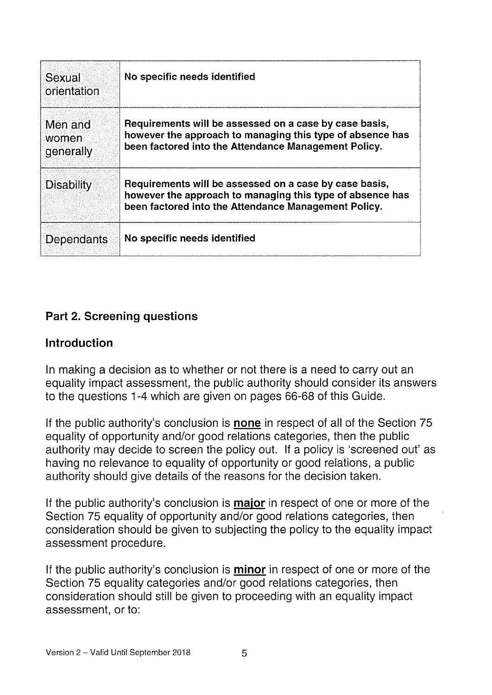| Sexual<br>orientation         | No specific needs identified                                                                                                                                                |
|-------------------------------|-----------------------------------------------------------------------------------------------------------------------------------------------------------------------------|
| Men and<br>women<br>generally | Requirements will be assessed on a case by case basis,<br>however the approach to managing this type of absence has<br>been factored into the Attendance Management Policy. |
| <b>Disability</b>             | Requirements will be assessed on a case by case basis,<br>however the approach to managing this type of absence has<br>been factored into the Attendance Management Policy. |
| Dependants                    | No specific needs identified                                                                                                                                                |

### Part 2. Screening questions

### Introduction

In making a decision as to whether or not there is a need to carry out an equality impact assessment, the public authority should consider its answers to the questions 1-4 which are given on pages 66-68 of this Guide.

If the public authority's conclusion is none in respect of all of the Section 75 equality of opportunity and/or good relations categories, then the public authority may decide to screen the policy out. If a policy is 'screened out' as having no relevance to equality of opportunity or good relations, a public authority should give details of the reasons for the decision taken.

If the public authority's conclusion is **major** in respect of one or more of the Section 75 equality of opportunity and/or good relations categories, then consideration should be given to subjecting the policy to the equality impact assessment procedure.

If the public authority's conclusion is **minor** in respect of one or more of the Section 75 equality categories and/or good relations categories, then consideration should still be given to proceeding with an equality impact assessment, or to: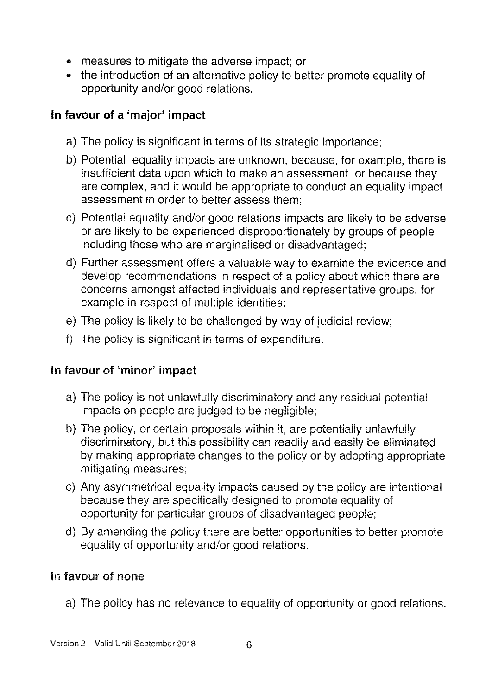- measures to mitigate the adverse impact; or
- the introduction of an alternative policy to better promote equality of opportunity and/or good relations.

### In favour of a 'major' impact

- a) The policy is significant in terms of its strategic importance;
- b) Potential equality impacts are unknown, because, for example, there is insufficient data upon which to make an assessment or because they are complex, and it would be appropriate to conduct an equality impact assessment in order to better assess them;
- c) Potential equality and/or good relations impacts are likely to be adverse or are likely to be experienced disproportionately by groups of people including those who are marginalised or disadvantaged;
- d) Further assessment offers a valuable way to examine the evidence and develop recommendations in respect of a policy about which there are concerns amongst affected individuals and representative groups, for example in respect of multiple identities;
- e) The policy is likely to be challenged by way of judicial review;
- f) The policy is significant in terms of expenditure.

### In favour of 'minor' impact

- a) The policy is not unlawfully discriminatory and any residual potential impacts on people are judged to be negligible;
- b) The policy, or certain proposals within it, are potentially unlawfully discriminatory, but this possibility can readily and easily be eliminated by making appropriate changes to the policy or by adopting appropriate mitigating measures;
- c) Any asymmetrical equality impacts caused by the policy are intentional because they are specifically designed to promote equality of opportunity for particular groups of disadvantaged people;
- d) By amending the policy there are better opportunities to better promote equality of opportunity and/or good relations.

### In favour of none

a) The policy has no relevance to equality of opportunity or good relations.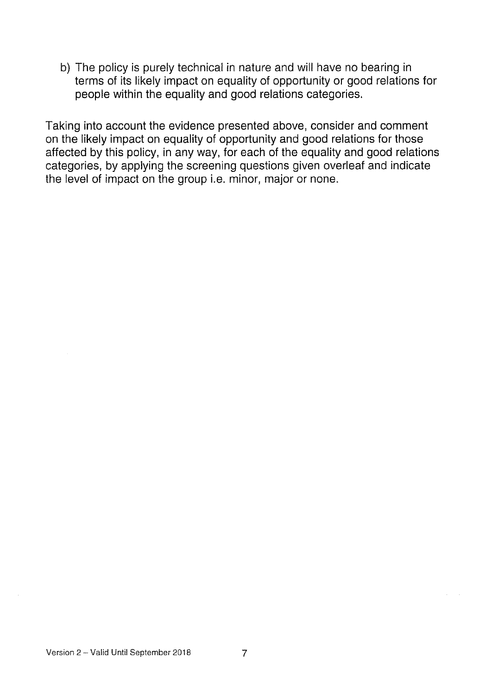b) The policy is purely technical in nature and will have no bearing in terms of its likely impact on equality of opportunity or good relations for people within the equality and good relations categories.

Taking into account the evidence presented above, consider and comment on the likely impact on equality of opportunity and good relations for those affected by this policy, in any way, for each of the equality and good relations categories, by applying the screening questions given overleaf and indicate the level of impact on the group i.e. minor, major or none.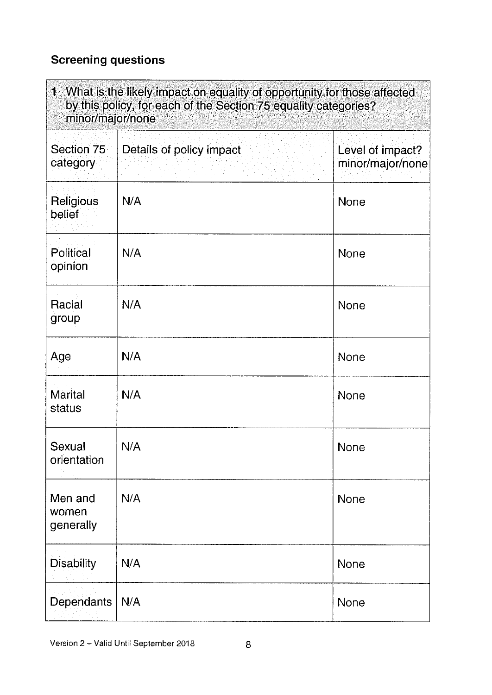## Screening questions

| 1 What is the likely impact on equality of opportunity for those affected<br>by this policy, for each of the Section 75 equality categories?<br>minor/major/none |                          |                                      |
|------------------------------------------------------------------------------------------------------------------------------------------------------------------|--------------------------|--------------------------------------|
| Section 75<br>category                                                                                                                                           | Details of policy impact | Level of impact?<br>minor/major/none |
| Religious<br>belief                                                                                                                                              | N/A                      | None                                 |
| Political<br>opinion                                                                                                                                             | N/A                      | <b>None</b>                          |
| Racial<br>group                                                                                                                                                  | N/A                      | <b>None</b>                          |
| Age                                                                                                                                                              | N/A                      | None                                 |
| <b>Marital</b><br>status                                                                                                                                         | N/A                      | None                                 |
| Sexual<br>orientation                                                                                                                                            | N/A                      | None                                 |
| Men and<br>women<br>generally                                                                                                                                    | N/A                      | None                                 |
| <b>Disability</b>                                                                                                                                                | N/A                      | None                                 |
| Dependants                                                                                                                                                       | N/A                      | None                                 |

Version 2 - Valid Until September 2018 8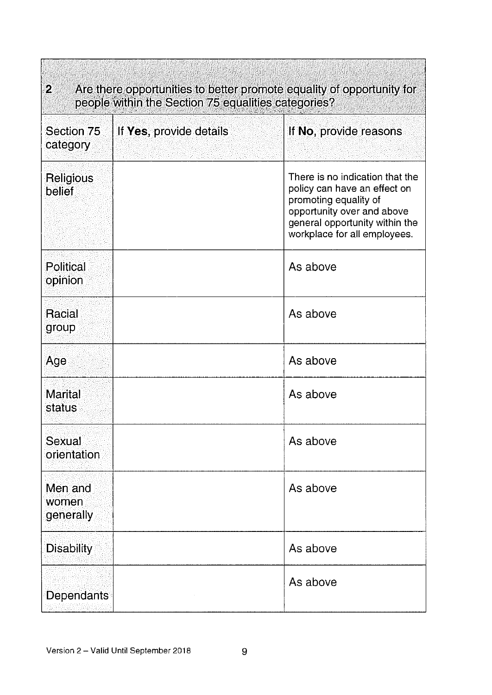| $\mathbf{2}$<br>Are there opportunities to better promote equality of opportunity for<br>people within the Section 75 equalities categories? |                         |                                                                                                                                                                                          |  |
|----------------------------------------------------------------------------------------------------------------------------------------------|-------------------------|------------------------------------------------------------------------------------------------------------------------------------------------------------------------------------------|--|
| Section 75<br>category                                                                                                                       | If Yes, provide details | If No, provide reasons                                                                                                                                                                   |  |
| <b>Religious</b><br><b>belief</b>                                                                                                            |                         | There is no indication that the<br>policy can have an effect on<br>promoting equality of<br>opportunity over and above<br>general opportunity within the<br>workplace for all employees. |  |
| Political<br>opinion                                                                                                                         |                         | As above                                                                                                                                                                                 |  |
| Racial<br>group                                                                                                                              |                         | As above                                                                                                                                                                                 |  |
| Age                                                                                                                                          |                         | As above                                                                                                                                                                                 |  |
| <b>Marital</b><br>status                                                                                                                     |                         | As above                                                                                                                                                                                 |  |
| Sexual<br>orientation                                                                                                                        |                         | As above                                                                                                                                                                                 |  |
| Men and<br>women<br><b>generally</b>                                                                                                         |                         | As above                                                                                                                                                                                 |  |
| <b>Disability</b>                                                                                                                            |                         | As above                                                                                                                                                                                 |  |
| <b>Dependants</b>                                                                                                                            |                         | As above                                                                                                                                                                                 |  |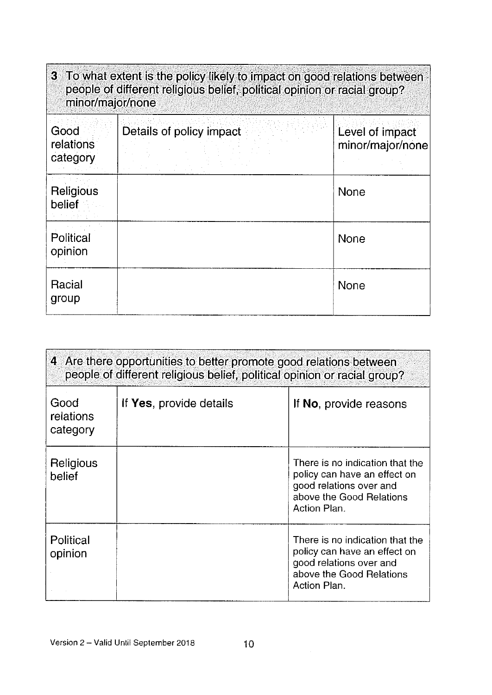| 3 To what extent is the policy likely to impact on good relations between<br>people of different religious belief, political opinion or racial group?<br>minor/major/none |                          |                                     |
|---------------------------------------------------------------------------------------------------------------------------------------------------------------------------|--------------------------|-------------------------------------|
| Good<br>relations<br>category                                                                                                                                             | Details of policy impact | Level of impact<br>minor/major/none |
| Religious<br>belief                                                                                                                                                       |                          | <b>None</b>                         |
| Political<br>opinion                                                                                                                                                      |                          | None                                |
| Racial<br>group                                                                                                                                                           |                          | <b>None</b>                         |

| 4 Are there opportunities to better promote good relations between<br>people of different religious belief, political opinion or racial group? |                         |                                                                                                                                        |
|------------------------------------------------------------------------------------------------------------------------------------------------|-------------------------|----------------------------------------------------------------------------------------------------------------------------------------|
| Good<br>relations<br>category                                                                                                                  | If Yes, provide details | If No, provide reasons                                                                                                                 |
| Religious<br>belief                                                                                                                            |                         | There is no indication that the<br>policy can have an effect on<br>good relations over and<br>above the Good Relations<br>Action Plan. |
| Political<br>opinion                                                                                                                           |                         | There is no indication that the<br>policy can have an effect on<br>good relations over and<br>above the Good Relations<br>Action Plan. |

 $\sim 10^{-1}$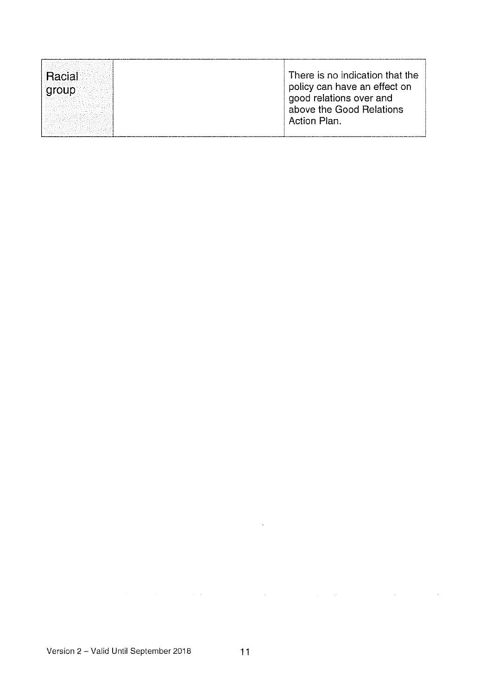| Racial<br>aroup | There is no indication that the<br>policy can have an effect on<br>good relations over and<br>above the Good Relations<br><b>Action Plan.</b> |
|-----------------|-----------------------------------------------------------------------------------------------------------------------------------------------|
|-----------------|-----------------------------------------------------------------------------------------------------------------------------------------------|

. The simple state is a set of the state of the state in the state of the state of the state of the state of the state of the state of the state of the state of the state of the state of the state of the state of the stat

 $\mathcal{L}(\mathcal{A})$  and  $\mathcal{L}(\mathcal{A})$  . In the  $\mathcal{L}(\mathcal{A})$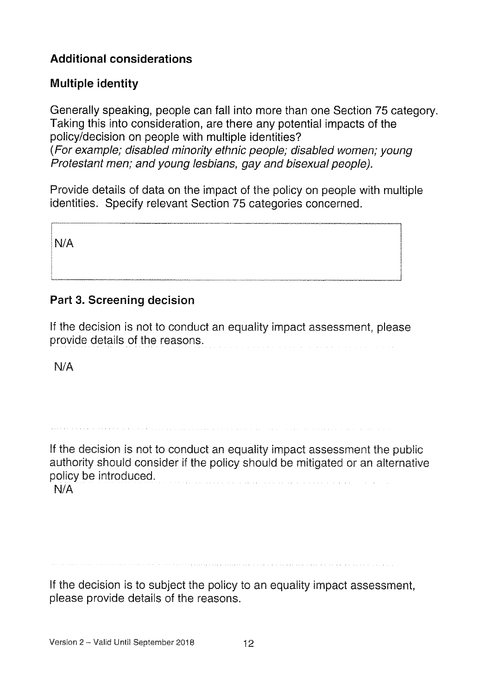### Additional considerations

### Multiple identity

Generally speaking, people can fall into more than one Section 75 category. Taking this into consideration, are there any potential impacts of the policy/decision on people with multiple identities? (For example; disabled minority ethnic people; disabled women; young Protestant men; and young lesbians, gay and bisexual people).

Provide details of data on the impact of the policy on people with multiple identities. Specify relevant Section 75 categories concerned.

N/A

### Part 3, Screening decision

If the decision is not to conduct an equality impact assessment, please provide details of the reasons.

N/A

If the decision is not to conduct an equality impact assessment the public authority should consider if the policy should be mitigated or an alternative policy be introduced. N/A

If the decision is to subject the policy to an equality impact assessment, please provide details of the reasons.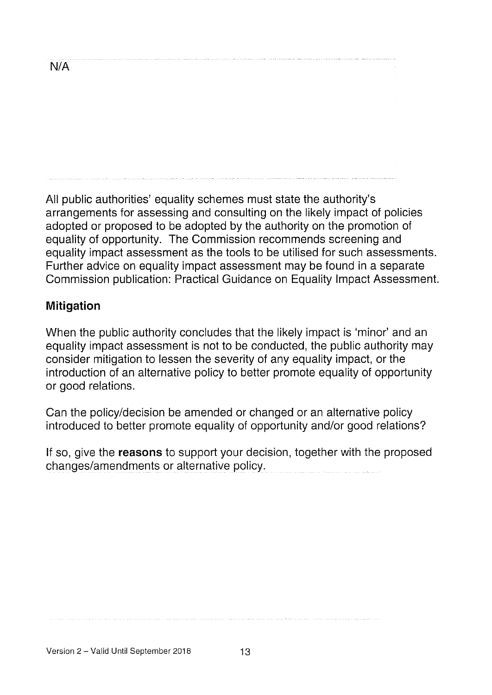All public authorities' equality schemes must state the authority's arrangements for assessing and consulting on the likely impact of policies adopted or proposed to be adopted by the authority on the promotion of equality of opportunity. The Commission recommends screening and equality impact assessment as the tools to be utilised for such assessments. Further advice on equality impact assessment may be found in a separate Commission publication: Practical Guidance on Equality Impact Assessment.

### Mitigation

When the public authority concludes that the likely impact is 'minor' and an equality impact assessment is not to be conducted, the public authority may consider mitigation to lessen the severity of any equality impact, or the introduction of an alternative policy to better promote equality of opportunity or good relations.

Can the policy/decision be amended or changed or an alternative policy introduced to better promote equality of opportunity and/or good relations?

If so, give the reasons to support your decision, together with the proposed changes/amendments or alternative policy.

N/A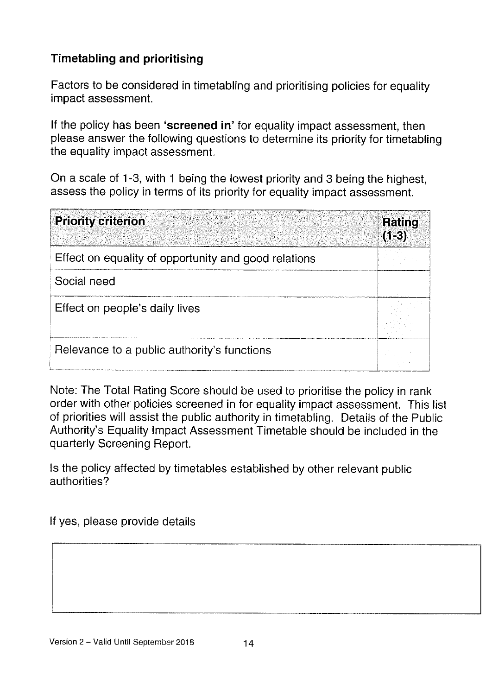### Timetabling and prioritising

Factors to be considered in timetabling and prioritising policies for equality impact assessment.

If the policy has been 'screened in' for equality impact assessment, then <sup>p</sup>lease answer the following questions to determine its priority for timetabling the equality impact assessment.

On <sup>a</sup> scale of 1-3, with <sup>1</sup> being the lowest priority and <sup>3</sup> being the highest, assess the policy in terms of its priority for equality impact assessment.

| <b>Priority criterion</b>                            | Rating<br>$(1-3)$ |
|------------------------------------------------------|-------------------|
| Effect on equality of opportunity and good relations |                   |
| Social need                                          |                   |
| Effect on people's daily lives                       |                   |
| Relevance to a public authority's functions          |                   |

Note: The Total Rating Score should be used to prioritise the policy in rank order with other policies screened in for equality impact assessment. This list of priorities will assist the public authority in timetabling. Details of the Public Authority's Equality Impact Assessment Timetable should be included in the quarterly Screening Report.

Is the policy affected by timetables established by other relevant public authorities?

If yes, please provide details